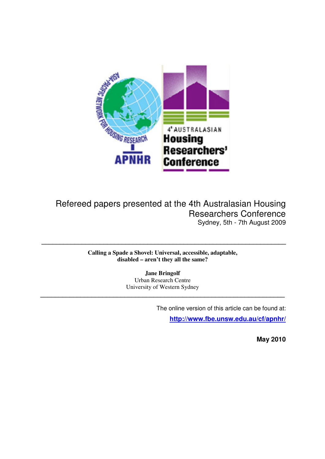

# Refereed papers presented at the 4th Australasian Housing Researchers Conference Sydney, 5th - 7th August 2009

**Calling a Spade a Shovel: Universal, accessible, adaptable, disabled – aren't they all the same?** 

**\_\_\_\_\_\_\_\_\_\_\_\_\_\_\_\_\_\_\_\_\_\_\_\_\_\_\_\_\_\_\_\_\_\_\_\_\_\_\_\_\_\_\_\_\_\_\_\_\_\_\_\_\_\_\_\_\_\_\_\_\_\_\_\_\_\_\_** 

**Jane Bringolf**  Urban Research Centre University of Western Sydney

**\_\_\_\_\_\_\_\_\_\_\_\_\_\_\_\_\_\_\_\_\_\_\_\_\_\_\_\_\_\_\_\_\_\_\_\_\_\_\_\_\_\_\_\_\_\_\_\_\_\_\_\_\_\_\_\_\_\_\_\_\_\_\_\_\_\_\_**

The online version of this article can be found at:

**http://www.fbe.unsw.edu.au/cf/apnhr/**

 **May 2010**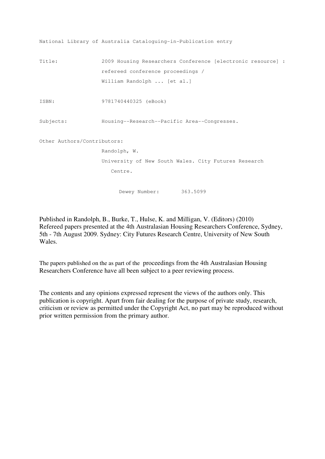```
National Library of Australia Cataloguing-in-Publication entry 
Title: 2009 Housing Researchers Conference [electronic resource] : 
                   refereed conference proceedings / 
                   William Randolph ... [et al.] 
ISBN: 9781740440325 (eBook) 
Subjects: Housing--Research--Pacific Area--Congresses. 
Other Authors/Contributors: 
                   Randolph, W. 
                   University of New South Wales. City Futures Research 
                      Centre. 
                        Dewey Number: 363.5099
```
Published in Randolph, B., Burke, T., Hulse, K. and Milligan, V. (Editors) (2010) Refereed papers presented at the 4th Australasian Housing Researchers Conference, Sydney, 5th - 7th August 2009. Sydney: City Futures Research Centre, University of New South Wales.

The papers published on the as part of the proceedings from the 4th Australasian Housing Researchers Conference have all been subject to a peer reviewing process.

The contents and any opinions expressed represent the views of the authors only. This publication is copyright. Apart from fair dealing for the purpose of private study, research, criticism or review as permitted under the Copyright Act, no part may be reproduced without prior written permission from the primary author.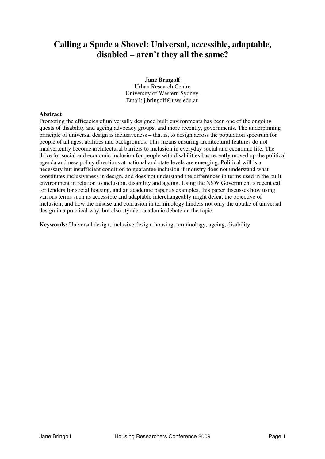# **Calling a Spade a Shovel: Universal, accessible, adaptable, disabled – aren't they all the same?**

### **Jane Bringolf**

Urban Research Centre University of Western Sydney. Email: j.bringolf@uws.edu.au

#### **Abstract**

Promoting the efficacies of universally designed built environments has been one of the ongoing quests of disability and ageing advocacy groups, and more recently, governments. The underpinning principle of universal design is inclusiveness – that is, to design across the population spectrum for people of all ages, abilities and backgrounds. This means ensuring architectural features do not inadvertently become architectural barriers to inclusion in everyday social and economic life. The drive for social and economic inclusion for people with disabilities has recently moved up the political agenda and new policy directions at national and state levels are emerging. Political will is a necessary but insufficient condition to guarantee inclusion if industry does not understand what constitutes inclusiveness in design, and does not understand the differences in terms used in the built environment in relation to inclusion, disability and ageing. Using the NSW Government's recent call for tenders for social housing, and an academic paper as examples, this paper discusses how using various terms such as accessible and adaptable interchangeably might defeat the objective of inclusion, and how the misuse and confusion in terminology hinders not only the uptake of universal design in a practical way, but also stymies academic debate on the topic.

**Keywords:** Universal design, inclusive design, housing, terminology, ageing, disability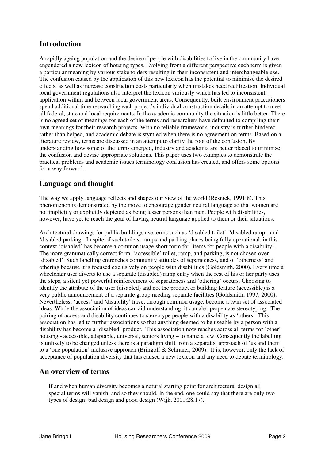## **Introduction**

A rapidly ageing population and the desire of people with disabilities to live in the community have engendered a new lexicon of housing types. Evolving from a different perspective each term is given a particular meaning by various stakeholders resulting in their inconsistent and interchangeable use. The confusion caused by the application of this new lexicon has the potential to minimise the desired effects, as well as increase construction costs particularly when mistakes need rectification. Individual local government regulations also interpret the lexicon variously which has led to inconsistent application within and between local government areas. Consequently, built environment practitioners spend additional time researching each project's individual construction details in an attempt to meet all federal, state and local requirements. In the academic community the situation is little better. There is no agreed set of meanings for each of the terms and researchers have defaulted to compiling their own meanings for their research projects. With no reliable framework, industry is further hindered rather than helped, and academic debate is stymied when there is no agreement on terms. Based on a literature review, terms are discussed in an attempt to clarify the root of the confusion. By understanding how some of the terms emerged, industry and academia are better placed to minimise the confusion and devise appropriate solutions. This paper uses two examples to demonstrate the practical problems and academic issues terminology confusion has created, and offers some options for a way forward.

## **Language and thought**

The way we apply language reflects and shapes our view of the world (Resnick, 1991:8). This phenomenon is demonstrated by the move to encourage gender neutral language so that women are not implicitly or explicitly depicted as being lesser persons than men. People with disabilities, however, have yet to reach the goal of having neutral language applied to them or their situations.

Architectural drawings for public buildings use terms such as 'disabled toilet', 'disabled ramp', and 'disabled parking'. In spite of such toilets, ramps and parking places being fully operational, in this context 'disabled' has become a common usage short form for 'items for people with a disability'. The more grammatically correct form, 'accessible' toilet, ramp, and parking, is not chosen over 'disabled'. Such labelling entrenches community attitudes of separateness, and of 'otherness' and othering because it is focused exclusively on people with disabilities (Goldsmith, 2000). Every time a wheelchair user diverts to use a separate (disabled) ramp entry when the rest of his or her party uses the steps, a silent yet powerful reinforcement of separateness and 'othering' occurs. Choosing to identify the attribute of the user (disabled) and not the product or building feature (accessible) is a very public announcement of a separate group needing separate facilities (Goldsmith, 1997, 2000). Nevertheless, 'access' and 'disability' have, through common usage, become a twin set of associated ideas. While the association of ideas can aid understanding, it can also perpetuate stereotyping. The pairing of access and disability continues to stereotype people with a disability as 'others'. This association has led to further associations so that anything deemed to be useable by a person with a disability has become a 'disabled' product. This association now reaches across all terms for 'other' housing - accessible, adaptable, universal, seniors living – to name a few. Consequently the labelling is unlikely to be changed unless there is a paradigm shift from a separatist approach of 'us and them' to a 'one population' inclusive approach (Bringolf & Schraner, 2009). It is, however, only the lack of acceptance of population diversity that has caused a new lexicon and any need to debate terminology.

### **An overview of terms**

If and when human diversity becomes a natural starting point for architectural design all special terms will vanish, and so they should. In the end, one could say that there are only two types of design: bad design and good design (Wijk, 2001:28.17).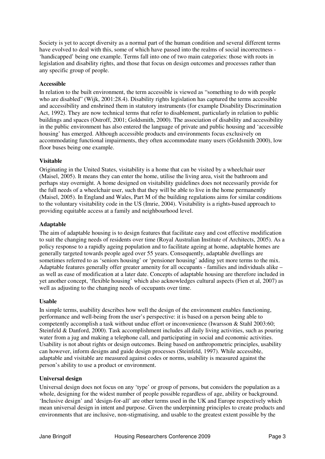Society is yet to accept diversity as a normal part of the human condition and several different terms have evolved to deal with this, some of which have passed into the realms of social incorrectness - 'handicapped' being one example. Terms fall into one of two main categories: those with roots in legislation and disability rights, and those that focus on design outcomes and processes rather than any specific group of people.

### **Accessible**

In relation to the built environment, the term accessible is viewed as "something to do with people who are disabled" (Wijk, 2001:28.4). Disability rights legislation has captured the terms accessible and accessibility and enshrined them in statutory instruments (for example Disability Discrimination Act, 1992). They are now technical terms that refer to disablement, particularly in relation to public buildings and spaces (Ostroff, 2001; Goldsmith, 2000). The association of disability and accessibility in the public environment has also entered the language of private and public housing and 'accessible housing' has emerged. Although accessible products and environments focus exclusively on accommodating functional impairments, they often accommodate many users (Goldsmith 2000), low floor buses being one example.

#### **Visitable**

Originating in the United States, visitability is a home that can be visited by a wheelchair user (Maisel, 2005). It means they can enter the home, utilise the living area, visit the bathroom and perhaps stay overnight. A home designed on visitability guidelines does not necessarily provide for the full needs of a wheelchair user, such that they will be able to live in the home permanently (Maisel, 2005). In England and Wales, Part M of the building regulations aims for similar conditions to the voluntary visitability code in the US (Imrie, 2004). Visitability is a rights-based approach to providing equitable access at a family and neighbourhood level.

### **Adaptable**

The aim of adaptable housing is to design features that facilitate easy and cost effective modification to suit the changing needs of residents over time (Royal Australian Institute of Architects, 2005). As a policy response to a rapidly ageing population and to facilitate ageing at home, adaptable homes are generally targeted towards people aged over 55 years. Consequently, adaptable dwellings are sometimes referred to as 'seniors housing' or 'pensioner housing' adding yet more terms to the mix. Adaptable features generally offer greater amenity for all occupants - families and individuals alike – as well as ease of modification at a later date. Concepts of adaptable housing are therefore included in yet another concept, 'flexible housing' which also acknowledges cultural aspects (Fien et al, 2007) as well as adjusting to the changing needs of occupants over time.

#### **Usable**

In simple terms, usability describes how well the design of the environment enables functioning, performance and well-being from the user's perspective: it is based on a person being able to competently accomplish a task without undue effort or inconvenience (Iwarsson & Stahl 2003:60; Steinfeld & Danford, 2000). Task accomplishment includes all daily living activities, such as pouring water from a jug and making a telephone call, and participating in social and economic activities. Usability is not about rights or design outcomes. Being based on anthropometric principles, usability can however, inform designs and guide design processes (Steinfeld, 1997). While accessible, adaptable and visitable are measured against codes or norms, usability is measured against the person's ability to use a product or environment.

### **Universal design**

Universal design does not focus on any 'type' or group of persons, but considers the population as a whole, designing for the widest number of people possible regardless of age, ability or background. 'Inclusive design' and 'design-for-all' are other terms used in the UK and Europe respectively which mean universal design in intent and purpose. Given the underpinning principles to create products and environments that are inclusive, non-stigmatising, and usable to the greatest extent possible by the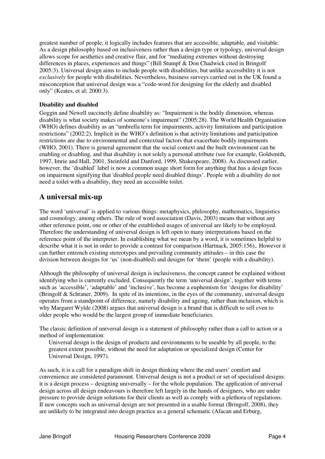greatest number of people, it logically includes features that are accessible, adaptable, and visitable. As a design philosophy based on inclusiveness rather than a design type or typology, universal design allows scope for aesthetics and creative flair, and for "mediating extremes without destroying differences in places, experiences and things" (Bill Stumpf & Don Chadwick cited in Bringolf 2005:3). Universal design aims to include people with disabilities, but unlike accessibility it is not *exclusively* for people with disabilities. Nevertheless, business surveys carried out in the UK found a misconception that universal design was a "code-word for designing for the elderly and disabled only" (Keates, et al; 2000:3).

### **Disability and disabled**

Goggin and Newell succinctly define disability as: "Impairment is the bodily dimension, whereas disability is what society makes of someone's impairment" (2005:28). The World Health Organisation (WHO) defines disability as an "umbrella term for impairments, activity limitations and participation restrictions" (2002:2). Implicit in the WHO's definition is that activity limitations and participation restrictions are due to environmental and contextual factors that exacerbate bodily impairments (WHO, 2001). There is general agreement that the social context and the built environment can be enabling or disabling, and that disability is not solely a personal attribute (see for example, Goldsmith, 1997, Imrie and Hall, 2001, Steinfeld and Danford, 1999, Shakespeare, 2008). As discussed earlier, however, the 'disabled' label is now a common usage short form for anything that has a design focus on impairment signifying that 'disabled people need disabled things'. People with a disability do not need a toilet with a disability, they need an accessible toilet.

### **A universal mix-up**

The word 'universal' is applied to various things: metaphysics, philosophy, mathematics, linguistics and cosmology, among others. The rule of word association (Davis, 2003) means that without any other reference point, one or other of the established usages of universal are likely to be employed. Therefore the understanding of universal design is left open to many interpretations based on the reference point of the interpreter. In establishing what we mean by a word, it is sometimes helpful to describe what it is not in order to provide a contrast for comparison (Hartnack, 2005:156),. However it can further entrench existing stereotypes and prevailing community attitudes – in this case the division between designs for 'us' (non-disabled) and designs for 'them' (people with a disability).

Although the philosophy of universal design is inclusiveness, the concept cannot be explained without identifying who is currently excluded. Consequently the term 'universal design', together with terms such as 'accessible', 'adaptable' and 'inclusive', has become a euphemism for 'designs for disability' (Bringolf & Schraner, 2009). In spite of its intentions, in the eyes of the community, universal design operates from a standpoint of difference, namely disability and ageing, rather than inclusion, which is why Margaret Wylde (2008) argues that universal design is a brand that is difficult to sell even to older people who would be the largest group of immediate beneficiaries.

The classic definition of universal design is a statement of philosophy rather than a call to action or a method of implementation:

Universal design is the design of products and environments to be useable by all people, to the greatest extent possible, without the need for adaptation or specialized design (Center for Universal Design, 1997).

As such, it is a call for a paradigm shift in design thinking where the end users' comfort and convenience are considered paramount. Universal design is not a product or set of specialised designs: it is a design process – designing universally – for the whole population. The application of universal design across all design endeavours is therefore left largely in the hands of designers, who are under pressure to provide design solutions for their clients as well as comply with a plethora of regulations. If new concepts such as universal design are not presented in a usable format (Bringolf, 2008), they are unlikely to be integrated into design practice as a general schematic (Afacan and Erburg,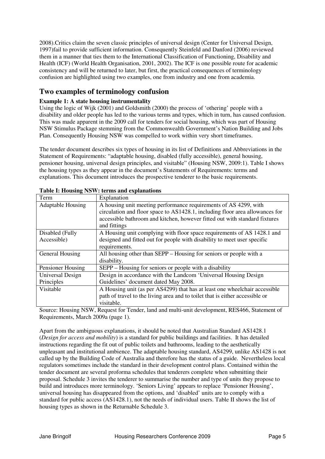2008).Critics claim the seven classic principles of universal design (Center for Universal Design, 1997)fail to provide sufficient information. Consequently Steinfeld and Danford (2006) reviewed them in a manner that ties them to the International Classification of Functioning, Disability and Health (ICF) (World Health Organisation, 2001, 2002). The ICF is one possible route for academic consistency and will be returned to later, but first, the practical consequences of terminology confusion are highlighted using two examples, one from industry and one from academia.

## **Two examples of terminology confusion**

### **Example 1: A state housing instrumentality**

Using the logic of Wijk (2001) and Goldsmith (2000) the process of 'othering' people with a disability and older people has led to the various terms and types, which in turn, has caused confusion. This was made apparent in the 2009 call for tenders for social housing, which was part of Housing NSW Stimulus Package stemming from the Commonwealth Government's Nation Building and Jobs Plan. Consequently Housing NSW was compelled to work within very short timeframes.

The tender document describes six types of housing in its list of Definitions and Abbreviations in the Statement of Requirements: "adaptable housing, disabled (fully accessible), general housing, pensioner housing, universal design principles, and visitable" (Housing NSW, 2009:1). Table I shows the housing types as they appear in the document's Statements of Requirements: terms and explanations. This document introduces the prospective tenderer to the basic requirements.

| Term                     | Explanation                                                                                    |
|--------------------------|------------------------------------------------------------------------------------------------|
| <b>Adaptable Housing</b> | A housing unit meeting performance requirements of AS 4299, with                               |
|                          | circulation and floor space to AS1428.1, including floor area allowances for                   |
|                          | accessible bathroom and kitchen, however fitted out with standard fixtures                     |
|                          | and fittings                                                                                   |
| Disabled (Fully          | A Housing unit complying with floor space requirements of AS 1428.1 and                        |
| Accessible)              | designed and fitted out for people with disability to meet user specific                       |
|                          | requirements.                                                                                  |
| General Housing          | All housing other than SEPP – Housing for seniors or people with a                             |
|                          | disability.                                                                                    |
| Pensioner Housing        | SEPP – Housing for seniors or people with a disability                                         |
| Universal Design         | Design in accordance with the Landcom 'Universal Housing Design                                |
| Principles               | Guidelines' document dated May 2008.                                                           |
| Visitable                | A Housing unit (as per AS4299) that has at least one wheelchair accessible                     |
|                          | path of travel to the living area and to toilet that is either accessible or                   |
|                          | visitable.                                                                                     |
|                          | Corner Housing MCW, Damast for Tander, Lead and write with development, DECACC, Clotherization |

Source: Housing NSW, Request for Tender, land and multi-unit development, RES466, Statement of Requirements, March 2009a (page 1).

Apart from the ambiguous explanations, it should be noted that Australian Standard AS1428.1 (*Design for access and mobility*) is a standard for public buildings and facilities. It has detailed instructions regarding the fit out of public toilets and bathrooms, leading to the aesthetically unpleasant and institutional ambience. The adaptable housing standard, AS4299, unlike AS1428 is not called up by the Building Code of Australia and therefore has the status of a guide. Nevertheless local regulators sometimes include the standard in their development control plans. Contained within the tender document are several proforma schedules that tenderers complete when submitting their proposal. Schedule 3 invites the tenderer to summarise the number and type of units they propose to build and introduces more terminology. 'Seniors Living' appears to replace 'Pensioner Housing', universal housing has disappeared from the options, and 'disabled' units are to comply with a standard for public access (AS1428.1), not the needs of individual users. Table II shows the list of housing types as shown in the Returnable Schedule 3.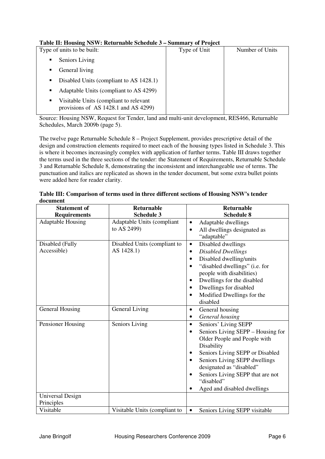### **Table II: Housing NSW: Returnable Schedule 3 – Summary of Project**

| Table II. Housing To $\alpha$ . Keturnable schedule $\beta$ – summary or Froject |                 |
|----------------------------------------------------------------------------------|-----------------|
| Type of Unit                                                                     | Number of Units |
|                                                                                  |                 |
|                                                                                  |                 |
|                                                                                  |                 |
|                                                                                  |                 |
|                                                                                  |                 |
|                                                                                  |                 |

Source: Housing NSW, Request for Tender, land and multi-unit development, RES466, Returnable Schedules, March 2009b (page 5).

The twelve page Returnable Schedule 8 – Project Supplement, provides prescriptive detail of the design and construction elements required to meet each of the housing types listed in Schedule 3. This is where it becomes increasingly complex with application of further terms. Table III draws together the terms used in the three sections of the tender: the Statement of Requirements, Returnable Schedule 3 and Returnable Schedule 8, demonstrating the inconsistent and interchangeable use of terms. The punctuation and italics are replicated as shown in the tender document, but some extra bullet points were added here for reader clarity.

| document |  |
|----------|--|
|          |  |

| <b>Statement of</b>      | <b>Returnable</b>             | Returnable                                     |
|--------------------------|-------------------------------|------------------------------------------------|
| <b>Requirements</b>      | <b>Schedule 3</b>             | <b>Schedule 8</b>                              |
| <b>Adaptable Housing</b> | Adaptable Units (compliant    | Adaptable dwellings<br>$\bullet$               |
|                          | to AS 2499)                   | All dwellings designated as                    |
|                          |                               | "adaptable"                                    |
| Disabled (Fully          | Disabled Units (compliant to  | Disabled dwellings<br>$\bullet$                |
| Accessible)              | AS 1428.1)                    | Disabled Dwellings<br>$\bullet$                |
|                          |                               | Disabled dwelling/units<br>$\bullet$           |
|                          |                               | "disabled dwellings" (i.e. for                 |
|                          |                               | people with disabilities)                      |
|                          |                               | Dwellings for the disabled<br>$\bullet$        |
|                          |                               | Dwellings for disabled                         |
|                          |                               | Modified Dwellings for the<br>$\bullet$        |
|                          |                               | disabled                                       |
| General Housing          | General Living                | General housing<br>$\bullet$                   |
|                          |                               | General housing                                |
| Pensioner Housing        | Seniors Living                | Seniors' Living SEPP<br>$\bullet$              |
|                          |                               | Seniors Living SEPP – Housing for<br>$\bullet$ |
|                          |                               | Older People and People with                   |
|                          |                               | Disability                                     |
|                          |                               | Seniors Living SEPP or Disabled<br>٠           |
|                          |                               | Seniors Living SEPP dwellings<br>$\bullet$     |
|                          |                               | designated as "disabled"                       |
|                          |                               | Seniors Living SEPP that are not               |
|                          |                               | "disabled"                                     |
|                          |                               | Aged and disabled dwellings                    |
| <b>Universal Design</b>  |                               |                                                |
| Principles               |                               |                                                |
| Visitable                | Visitable Units (compliant to | Seniors Living SEPP visitable<br>$\bullet$     |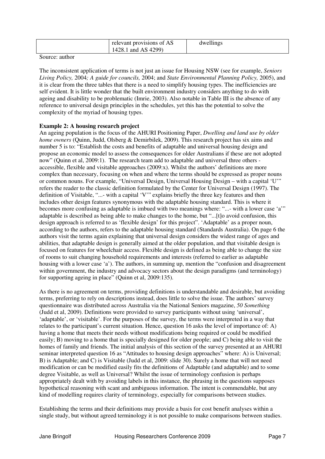| relevant provisions of AS | dwellings |
|---------------------------|-----------|
| and AS $4299$ )<br>1428.1 |           |

Source: author

The inconsistent application of terms is not just an issue for Housing NSW (see for example, *Seniors Living Policy,* 2004*; A guide for councils,* 2004; and *State Environmental Planning Policy,* 2005), and it is clear from the three tables that there is a need to simplify housing types. The inefficiencies are self evident. It is little wonder that the built environment industry considers anything to do with ageing and disability to be problematic (Imrie, 2003). Also notable in Table III is the absence of any reference to universal design principles in the schedules, yet this has the potential to solve the complexity of the myriad of housing types.

#### **Example 2: A housing research project**

An ageing population is the focus of the AHURI Positioning Paper, *Dwelling and land use by older home owners* (Quinn, Judd, Olsberg & Demirbilek, 2009). This research project has six aims and number 5 is to: "Establish the costs and benefits of adaptable and universal housing design and propose an economic model to assess the consequences for older Australians if these are not adopted now" (Quinn et al, 2009:1). The research team add to adaptable and universal three others accessible, flexible and visitable approaches (2009:x). Whilst the authors' definitions are more complex than necessary, focusing on when and where the terms should be expressed as proper nouns or common nouns. For example, "Universal Design, Universal Housing Design – with a capital 'U'" refers the reader to the classic definition formulated by the Center for Universal Design (1997). The definition of Visitable, "...- with a capital 'V'" explains briefly the three key features and then includes other design features synonymous with the adaptable housing standard. This is where it becomes more confusing as adaptable is imbued with two meanings where: "...- with a lower case 'a'" adaptable is described as being able to make changes to the home, but "...[t]o avoid confusion, this design approach is referred to as 'flexible design' for this project". 'Adaptable' as a proper noun, according to the authors, refers to the adaptable housing standard (Standards Australia). On page 6 the authors visit the terms again explaining that universal design considers the widest range of ages and abilities, that adaptable design is generally aimed at the older population, and that visitable design is focused on features for wheelchair access. Flexible design is defined as being able to change the size of rooms to suit changing household requirements and interests (referred to earlier as adaptable housing with a lower case 'a'). The authors, in summing up, mention the "confusion and disagreement" within government, the industry and advocacy sectors about the design paradigms (and terminology) for supporting ageing in place" (Quinn et al, 2009:135).

As there is no agreement on terms, providing definitions is understandable and desirable, but avoiding terms, preferring to rely on descriptions instead, does little to solve the issue. The authors' survey questionnaire was distributed across Australia via the National Seniors magazine, *50 Something*  (Judd et al, 2009). Definitions were provided to survey participants without using 'universal', 'adaptable', or 'visitable'. For the purposes of the survey, the terms were interpreted in a way that relates to the participant's current situation. Hence, question 16 asks the level of importance of: A) having a home that meets their needs without modifications being required or could be modified easily; B) moving to a home that is specially designed for older people; and C) being able to visit the homes of family and friends. The initial analysis of this section of the survey presented at an AHURI seminar interpreted question 16 as "Attitudes to housing design approaches" where: A) is Universal; B) is Adaptable; and C) is Visitable (Judd et al, 2009: slide 30). Surely a home that will not need modification or can be modified easily fits the definitions of Adaptable (and adaptable) and to some degree Visitable, as well as Universal? Whilst the issue of terminology confusion is perhaps appropriately dealt with by avoiding labels in this instance, the phrasing in the questions supposes hypothetical reasoning with scant and ambiguous information. The intent is commendable, but any kind of modelling requires clarity of terminology, especially for comparisons between studies.

Establishing the terms and their definitions may provide a basis for cost benefit analyses within a single study, but without agreed terminology it is not possible to make comparisons between studies.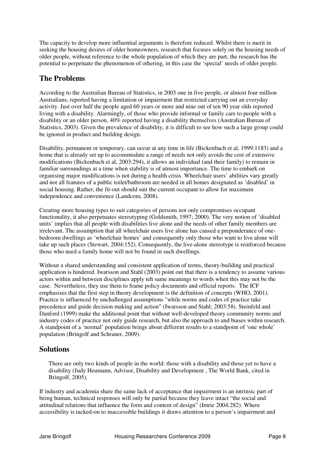The capacity to develop more influential arguments is therefore reduced. Whilst there is merit in seeking the housing desires of older homeowners, research that focuses solely on the housing needs of older people, without reference to the whole population of which they are part, the research has the potential to perpetuate the phenomenon of othering, in this case the 'special' needs of older people.

## **The Problems**

According to the Australian Bureau of Statistics, in 2003 one in five people, or almost four million Australians, reported having a limitation or impairment that restricted carrying out an everyday activity. Just over half the people aged 60 years or more and nine out of ten 90 year olds reported living with a disability. Alarmingly, of those who provide informal or family care to people with a disability or an older person, 40% reported having a disability themselves (Australian Bureau of Statistics, 2003). Given the prevalence of disability, it is difficult to see how such a large group could be ignored in product and building design.

Disability, permanent or temporary, can occur at any time in life (Bickenbach et al, 1999:1183) and a home that is already set up to accommodate a range of needs not only avoids the cost of extensive modifications (Bickenbach et al, 2003:294), it allows an individual (and their family) to remain in familiar surroundings at a time when stability is of utmost importance. The time to embark on organising major modifications is not during a health crisis. Wheelchair users' abilities vary greatly and not all features of a public toilet/bathroom are needed in all homes designated as 'disabled' in social housing. Rather, the fit-out should suit the current occupant to allow for maximum independence and convenience (Landcom, 2008).

Creating more housing types to suit categories of persons not only compromises occupant functionality, it also perpetuates stereotyping (Goldsmith, 1997; 2000). The very notion of 'disabled units' implies that all people with disabilities live alone and the needs of other family members are irrelevant. The assumption that all wheelchair users live alone has caused a preponderance of onebedroom dwellings as 'wheelchair homes' and consequently only those who want to live alone will take up such places (Stewart, 2004:152). Consequently, the live-alone stereotype is reinforced because those who need a family home will not be found in such dwellings.

Without a shared understanding and consistent application of terms, theory-building and practical application is hindered. Iwarsson and Stahl  $(2003)$  point out that there is a tendency to assume various actors within and between disciplines apply teh same meanings to words when this may not be the case. Nevertheless, they use them to frame policy documents and official reports. The ICF emphasises that the first step in theory development is the definition of concepts (WHO, 2001). Practice is influenced by unchallenged assumptions "while norms and codes of practice take precedence and guide decision making and action" (Iwarsson and Stahl; 2003:58). Steinfeld and Danford (1999) make the additional point that without well-developed theory community norms and industry codes of practice not only guide research, but also the approach to and biases within research. A standpoint of a 'normal' population brings about different results to a standpoint of 'one whole' population (Bringolf and Schraner, 2009).

## **Solutions**

There are only two kinds of people in the world: those with a disability and those yet to have a disability (Judy Heumann, Advisor, Disability and Development , The World Bank, cited in Bringolf, 2005).

If industry and academia share the same lack of acceptance that impairment is an intrinsic part of being human, technical responses will only be partial because they leave intact "the social and attitudinal relations that influence the form and content of design" (Imrie 2004:282). Where accessibility is tacked-on to inaccessible buildings it draws attention to a person's impairment and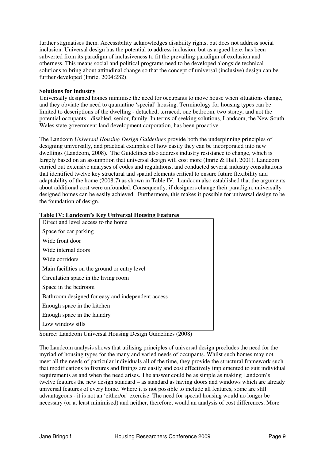further stigmatises them. Accessibility acknowledges disability rights, but does not address social inclusion. Universal design has the potential to address inclusion, but as argued here, has been subverted from its paradigm of inclusiveness to fit the prevailing paradigm of exclusion and otherness. This means social and political programs need to be developed alongside technical solutions to bring about attitudinal change so that the concept of universal (inclusive) design can be further developed (Imrie, 2004:282).

#### **Solutions for industry**

Universally designed homes minimise the need for occupants to move house when situations change, and they obviate the need to quarantine 'special' housing. Terminology for housing types can be limited to descriptions of the dwelling - detached, terraced, one bedroom, two storey, and not the potential occupants - disabled, senior, family. In terms of seeking solutions, Landcom, the New South Wales state government land development corporation, has been proactive.

The Landcom *Universal Housing Design Guidelines* provide both the underpinning principles of designing universally, and practical examples of how easily they can be incorporated into new dwellings (Landcom, 2008). The Guidelines also address industry resistance to change, which is largely based on an assumption that universal design will cost more (Imrie & Hall, 2001). Landcom carried out extensive analyses of codes and regulations, and conducted several industry consultations that identified twelve key structural and spatial elements critical to ensure future flexibility and adaptability of the home (2008:7) as shown in Table IV. Landcom also established that the arguments about additional cost were unfounded. Consequently, if designers change their paradigm, universally designed homes can be easily achieved. Furthermore, this makes it possible for universal design to be the foundation of design.

| Table IV: Landcom's Ney Universal Housing Features |
|----------------------------------------------------|
| Direct and level access to the home                |
| Space for car parking                              |
| Wide front door                                    |
| Wide internal doors                                |
| Wide corridors                                     |
| Main facilities on the ground or entry level       |
| Circulation space in the living room               |
| Space in the bedroom                               |
| Bathroom designed for easy and independent access  |
| Enough space in the kitchen                        |
| Enough space in the laundry                        |
| Low window sills                                   |

### **Table IV: Landcom's Key Universal Housing Features**

Source: Landcom Universal Housing Design Guidelines (2008)

The Landcom analysis shows that utilising principles of universal design precludes the need for the myriad of housing types for the many and varied needs of occupants. Whilst such homes may not meet all the needs of particular individuals all of the time, they provide the structural framework such that modifications to fixtures and fittings are easily and cost effectively implemented to suit individual requirements as and when the need arises. The answer could be as simple as making Landcom's twelve features the new design standard – as standard as having doors and windows which are already universal features of every home. Where it is not possible to include all features, some are still advantageous - it is not an 'either/or' exercise. The need for special housing would no longer be necessary (or at least minimised) and neither, therefore, would an analysis of cost differences. More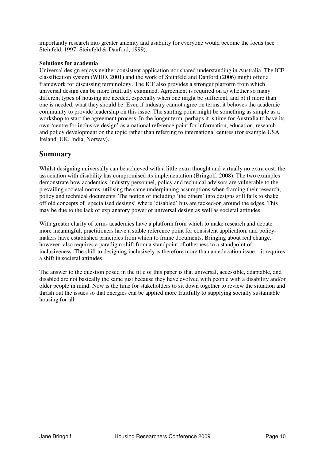importantly research into greater amenity and usability for everyone would become the focus (see Steinfeld, 1997: Steinfeld & Danford, 1999).

#### **Solutions for academia**

Universal design enjoys neither consistent application nor shared understanding in Australia. The ICF classification system (WHO, 2001) and the work of Steinfeld and Danford (2006) might offer a framework for discussing terminology. The ICF also provides a stronger platform from which universal design can be more fruitfully examined. Agreement is required on a) whether so many different types of housing are needed, especially when one might be sufficient, and b) if more than one is needed, what they should be. Even if industry cannot agree on terms, it behoves the academic community to provide leadership on this issue. The starting point might be something as simple as a workshop to start the agreement process. In the longer term, perhaps it is time for Australia to have its own 'centre for inclusive design' as a national reference point for information, education, research and policy development on the topic rather than referring to international centres (for example USA, Ireland, UK, India, Norway).

### **Summary**

Whilst designing universally can be achieved with a little extra thought and virtually no extra cost, the association with disability has compromised its implementation (Bringolf, 2008). The two examples demonstrate how academics, industry personnel, policy and technical advisors are vulnerable to the prevailing societal norms, utilising the same underpinning assumptions when framing their research, policy and technical documents. The notion of including 'the others' into designs still fails to shake off old concepts of 'specialised designs' where 'disabled' bits are tacked-on around the edges. This may be due to the lack of explanatory power of universal design as well as societal attitudes.

With greater clarity of terms academics have a platform from which to make research and debate more meaningful, practitioners have a stable reference point for consistent application, and policymakers have established principles from which to frame documents. Bringing about real change, however, also requires a paradigm shift from a standpoint of otherness to a standpoint of inclusiveness. The shift to designing inclusively is therefore more than an education issue – it requires a shift in societal attitudes.

The answer to the question posed in the title of this paper is that universal, accessible, adaptable, and disabled are not basically the same just because they have evolved with people with a disability and/or older people in mind. Now is the time for stakeholders to sit down together to review the situation and thrash out the issues so that energies can be applied more fruitfully to supplying socially sustainable housing for all.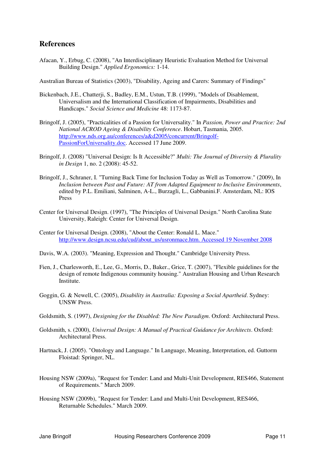### **References**

Afacan, Y., Erbug, C. (2008), "An Interdisciplinary Heuristic Evaluation Method for Universal Building Design." *Applied Ergonomics:* 1-14.

Australian Bureau of Statistics (2003), "Disability, Ageing and Carers: Summary of Findings"

- Bickenbach, J.E., Chatterji, S., Badley, E.M., Ustun, T.B. (1999), "Models of Disablement, Universalism and the International Classification of Impairments, Disabilities and Handicaps." *Social Science and Medicine* 48: 1173-87.
- Bringolf, J. (2005), "Practicalities of a Passion for Universality." In *Passion, Power and Practice: 2nd National ACROD Ageing & Disability Conference*. Hobart, Tasmania, 2005. http://www.nds.org.au/conferences/a&d2005/concurrent/Bringolf-PassionForUniversality.doc. Accessed 17 June 2009.
- Bringolf, J. (2008) "Universal Design: Is It Accessible?" *Multi: The Journal of Diversity & Plurality in Design* 1, no. 2 (2008): 45-52.
- Bringolf, J., Schraner, I. "Turning Back Time for Inclusion Today as Well as Tomorrow." (2009), In *Inclusion between Past and Future: AT from Adapted Equipment to Inclusive Environments*, edited by P.L. Emiliani, Salminen, A-L., Burzagli, L., Gabbanini.F. Amsterdam, NL: IOS Press
- Center for Universal Design. (1997), "The Principles of Universal Design." North Carolina State University, Raleigh: Center for Universal Design.
- Center for Universal Design. (2008), "About the Center: Ronald L. Mace." http://www.design.ncsu.edu/cud/about\_us/usronmace.htm. Accessed 19 November 2008
- Davis, W.A. (2003). "Meaning, Expression and Thought." Cambridge University Press.
- Fien, J., Charlesworth, E., Lee, G., Morris, D., Baker., Grice, T. (2007), "Flexible guidelines for the design of remote Indigenous community housing." Australian Housing and Urban Research Institute.
- Goggin, G. & Newell, C. (2005), *Disability in Australia: Exposing a Social Apartheid*. Sydney: UNSW Press.
- Goldsmith, S. (1997), *Designing for the Disabled: The New Paradigm*. Oxford: Architectural Press.
- Goldsmith, s. (2000), *Universal Design: A Manual of Practical Guidance for Architects*. Oxford: Architectural Press.
- Hartnack, J. (2005). "Ontology and Language." In Language, Meaning, Interpretation, ed. Guttorm Floistad: Springer, NL.
- Housing NSW (2009a), "Request for Tender: Land and Multi-Unit Development, RES466, Statement of Requirements." March 2009.
- Housing NSW (2009b), "Request for Tender: Land and Multi-Unit Development, RES466, Returnable Schedules." March 2009.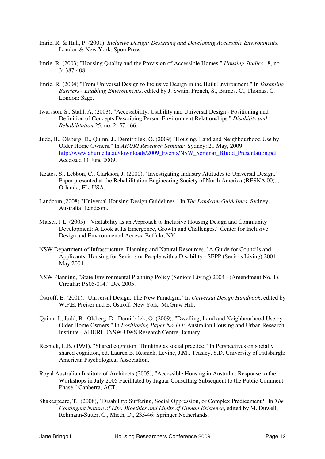- Imrie, R. & Hall, P. (2001), *Inclusive Design: Designing and Developing Accessible Environments*. London & New York: Spon Press.
- Imrie, R. (2003) "Housing Quality and the Provision of Accessible Homes." *Housing Studies* 18, no.  $3: 387-408$
- Imrie, R. (2004) "From Universal Design to Inclusive Design in the Built Environment." In *Disabling Barriers - Enabling Environments*, edited by J. Swain, French, S., Barnes, C., Thomas, C. London: Sage.
- Iwarsson, S., Stahl, A. (2003). "Accessibility, Usability and Universal Design Positioning and Definition of Concepts Describing Person-Environment Relationships." *Disability and Rehabilitation* 25, no. 2: 57 - 66.
- Judd, B., Olsberg, D., Quinn, J., Demirbilek, O. (2009) "Housing, Land and Neighbourhood Use by Older Home Owners." In *AHURI Research Seminar*. Sydney: 21 May, 2009. http://www.ahuri.edu.au/downloads/2009\_Events/NSW\_Seminar\_BJudd\_Presentation.pdf Accessed 11 June 2009.
- Keates, S., Lebbon, C., Clarkson, J. (2000), "Investigating Industry Attitudes to Universal Design." Paper presented at the Rehabilitation Engineering Society of North America (RESNA 00), , Orlando, FL, USA.
- Landcom (2008) "Universal Housing Design Guidelines." In *The Landcom Guidelines*. Sydney, Australia: Landcom.
- Maisel, J L. (2005), "Visitability as an Approach to Inclusive Housing Design and Community Development: A Look at Its Emergence, Growth and Challenges." Center for Inclusive Design and Environmental Access, Buffalo, NY.
- NSW Department of Infrastructure, Planning and Natural Resources. "A Guide for Councils and Applicants: Housing for Seniors or People with a Disability - SEPP (Seniors Living) 2004." May 2004.
- NSW Planning, "State Environmental Planning Policy (Seniors Living) 2004 (Amendment No. 1). Circular: PS05-014." Dec 2005.
- Ostroff, E. (2001), "Universal Design: The New Paradigm." In *Universal Design Handbook*, edited by W.F.E. Preiser and E. Ostroff. New York: McGraw Hill.
- Quinn, J., Judd, B., Olsberg, D., Demirbilek, O. (2009), "Dwelling, Land and Neighbourhood Use by Older Home Owners." In *Positioning Paper No 111*: Australian Housing and Urban Research Institute - AHURI UNSW-UWS Research Centre, January.
- Resnick, L.B. (1991). "Shared cognition: Thinking as social practice." In Perspectives on socially shared cognition, ed. Lauren B. Resnick, Levine, J.M., Teasley, S.D. University of Pittsburgh: American Psychological Association.
- Royal Australian Institute of Architects (2005), "Accessible Housing in Australia: Response to the Workshops in July 2005 Facilitated by Jaguar Consulting Subsequent to the Public Comment Phase." Canberra, ACT.
- Shakespeare, T. (2008), "Disability: Suffering, Social Oppression, or Complex Predicament?" In *The Contingent Nature of Life: Bioethics and Limits of Human Existence*, edited by M. Duwell, Rehmann-Sutter, C., Mieth, D., 235-46: Springer Netherlands.